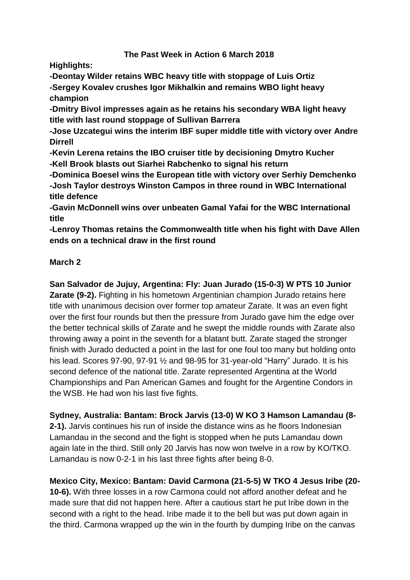## **The Past Week in Action 6 March 2018**

**Highlights:**

**-Deontay Wilder retains WBC heavy title with stoppage of Luis Ortiz**

**-Sergey Kovalev crushes Igor Mikhalkin and remains WBO light heavy champion**

**-Dmitry Bivol impresses again as he retains his secondary WBA light heavy title with last round stoppage of Sullivan Barrera**

**-Jose Uzcategui wins the interim IBF super middle title with victory over Andre Dirrell**

**-Kevin Lerena retains the IBO cruiser title by decisioning Dmytro Kucher -Kell Brook blasts out Siarhei Rabchenko to signal his return**

**-Dominica Boesel wins the European title with victory over Serhiy Demchenko -Josh Taylor destroys Winston Campos in three round in WBC International title defence**

**-Gavin McDonnell wins over unbeaten Gamal Yafai for the WBC International title**

**-Lenroy Thomas retains the Commonwealth title when his fight with Dave Allen ends on a technical draw in the first round**

## **March 2**

**San Salvador de Jujuy, Argentina: Fly: Juan Jurado (15-0-3) W PTS 10 Junior Zarate (9-2).** Fighting in his hometown Argentinian champion Jurado retains here title with unanimous decision over former top amateur Zarate. It was an even fight over the first four rounds but then the pressure from Jurado gave him the edge over the better technical skills of Zarate and he swept the middle rounds with Zarate also throwing away a point in the seventh for a blatant butt. Zarate staged the stronger finish with Jurado deducted a point in the last for one foul too many but holding onto his lead. Scores 97-90, 97-91 ½ and 98-95 for 31-year-old "Harry" Jurado. It is his second defence of the national title. Zarate represented Argentina at the World Championships and Pan American Games and fought for the Argentine Condors in the WSB. He had won his last five fights.

**Sydney, Australia: Bantam: Brock Jarvis (13-0) W KO 3 Hamson Lamandau (8- 2-1).** Jarvis continues his run of inside the distance wins as he floors Indonesian Lamandau in the second and the fight is stopped when he puts Lamandau down again late in the third. Still only 20 Jarvis has now won twelve in a row by KO/TKO. Lamandau is now 0-2-1 in his last three fights after being 8-0.

**Mexico City, Mexico: Bantam: David Carmona (21-5-5) W TKO 4 Jesus Iribe (20- 10-6).** With three losses in a row Carmona could not afford another defeat and he made sure that did not happen here. After a cautious start he put Iribe down in the second with a right to the head. Iribe made it to the bell but was put down again in the third. Carmona wrapped up the win in the fourth by dumping Iribe on the canvas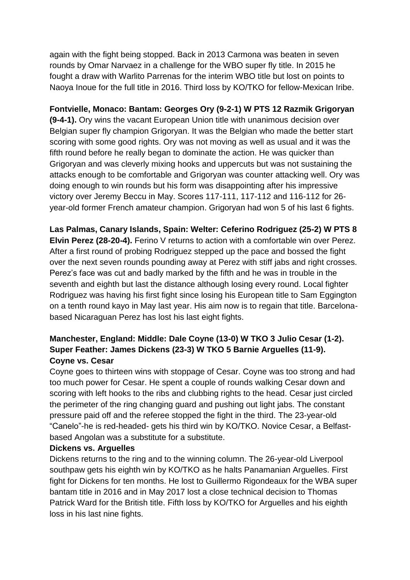again with the fight being stopped. Back in 2013 Carmona was beaten in seven rounds by Omar Narvaez in a challenge for the WBO super fly title. In 2015 he fought a draw with Warlito Parrenas for the interim WBO title but lost on points to Naoya Inoue for the full title in 2016. Third loss by KO/TKO for fellow-Mexican Iribe.

**Fontvielle, Monaco: Bantam: Georges Ory (9-2-1) W PTS 12 Razmik Grigoryan (9-4-1).** Ory wins the vacant European Union title with unanimous decision over Belgian super fly champion Grigoryan. It was the Belgian who made the better start scoring with some good rights. Ory was not moving as well as usual and it was the fifth round before he really began to dominate the action. He was quicker than Grigoryan and was cleverly mixing hooks and uppercuts but was not sustaining the attacks enough to be comfortable and Grigoryan was counter attacking well. Ory was doing enough to win rounds but his form was disappointing after his impressive victory over Jeremy Beccu in May. Scores 117-111, 117-112 and 116-112 for 26 year-old former French amateur champion. Grigoryan had won 5 of his last 6 fights.

**Las Palmas, Canary Islands, Spain: Welter: Ceferino Rodriguez (25-2) W PTS 8 Elvin Perez (28-20-4).** Ferino V returns to action with a comfortable win over Perez. After a first round of probing Rodriguez stepped up the pace and bossed the fight over the next seven rounds pounding away at Perez with stiff jabs and right crosses. Perez's face was cut and badly marked by the fifth and he was in trouble in the seventh and eighth but last the distance although losing every round. Local fighter Rodriguez was having his first fight since losing his European title to Sam Eggington on a tenth round kayo in May last year. His aim now is to regain that title. Barcelonabased Nicaraguan Perez has lost his last eight fights.

# **Manchester, England: Middle: Dale Coyne (13-0) W TKO 3 Julio Cesar (1-2). Super Feather: James Dickens (23-3) W TKO 5 Barnie Arguelles (11-9). Coyne vs. Cesar**

Coyne goes to thirteen wins with stoppage of Cesar. Coyne was too strong and had too much power for Cesar. He spent a couple of rounds walking Cesar down and scoring with left hooks to the ribs and clubbing rights to the head. Cesar just circled the perimeter of the ring changing guard and pushing out light jabs. The constant pressure paid off and the referee stopped the fight in the third. The 23-year-old "Canelo"-he is red-headed- gets his third win by KO/TKO. Novice Cesar, a Belfastbased Angolan was a substitute for a substitute.

### **Dickens vs. Arguelles**

Dickens returns to the ring and to the winning column. The 26-year-old Liverpool southpaw gets his eighth win by KO/TKO as he halts Panamanian Arguelles. First fight for Dickens for ten months. He lost to Guillermo Rigondeaux for the WBA super bantam title in 2016 and in May 2017 lost a close technical decision to Thomas Patrick Ward for the British title. Fifth loss by KO/TKO for Arguelles and his eighth loss in his last nine fights.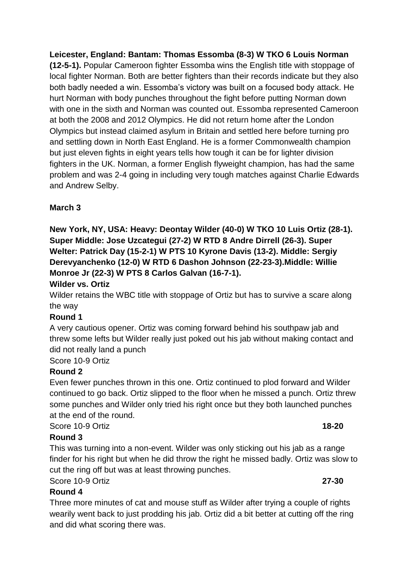**Leicester, England: Bantam: Thomas Essomba (8-3) W TKO 6 Louis Norman (12-5-1).** Popular Cameroon fighter Essomba wins the English title with stoppage of local fighter Norman. Both are better fighters than their records indicate but they also both badly needed a win. Essomba's victory was built on a focused body attack. He hurt Norman with body punches throughout the fight before putting Norman down with one in the sixth and Norman was counted out. Essomba represented Cameroon at both the 2008 and 2012 Olympics. He did not return home after the London Olympics but instead claimed asylum in Britain and settled here before turning pro and settling down in North East England. He is a former Commonwealth champion but just eleven fights in eight years tells how tough it can be for lighter division fighters in the UK. Norman, a former English flyweight champion, has had the same problem and was 2-4 going in including very tough matches against Charlie Edwards and Andrew Selby.

# **March 3**

**New York, NY, USA: Heavy: Deontay Wilder (40-0) W TKO 10 Luis Ortiz (28-1). Super Middle: Jose Uzcategui (27-2) W RTD 8 Andre Dirrell (26-3). Super Welter: Patrick Day (15-2-1) W PTS 10 Kyrone Davis (13-2). Middle: Sergiy Derevyanchenko (12-0) W RTD 6 Dashon Johnson (22-23-3).Middle: Willie Monroe Jr (22-3) W PTS 8 Carlos Galvan (16-7-1).**

## **Wilder vs. Ortiz**

Wilder retains the WBC title with stoppage of Ortiz but has to survive a scare along the way

## **Round 1**

A very cautious opener. Ortiz was coming forward behind his southpaw jab and threw some lefts but Wilder really just poked out his jab without making contact and did not really land a punch

## Score 10-9 Ortiz

## **Round 2**

Even fewer punches thrown in this one. Ortiz continued to plod forward and Wilder continued to go back. Ortiz slipped to the floor when he missed a punch. Ortiz threw some punches and Wilder only tried his right once but they both launched punches at the end of the round.

## Score 10-9 Ortiz **18-20**

## **Round 3**

This was turning into a non-event. Wilder was only sticking out his jab as a range finder for his right but when he did throw the right he missed badly. Ortiz was slow to cut the ring off but was at least throwing punches.

## Score 10-9 Ortiz **27-30**

## **Round 4**

Three more minutes of cat and mouse stuff as Wilder after trying a couple of rights wearily went back to just prodding his jab. Ortiz did a bit better at cutting off the ring and did what scoring there was.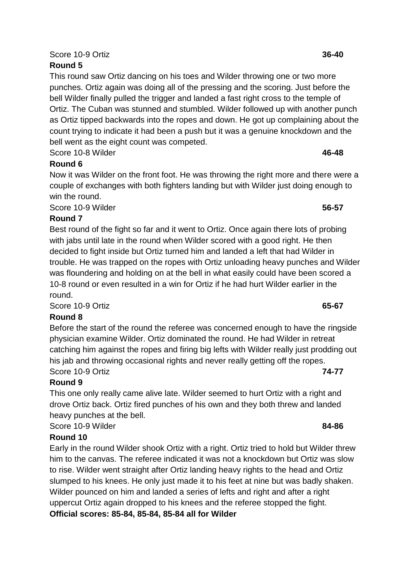# Score 10-9 Ortiz **36-40**

# **Round 5**

This round saw Ortiz dancing on his toes and Wilder throwing one or two more punches. Ortiz again was doing all of the pressing and the scoring. Just before the bell Wilder finally pulled the trigger and landed a fast right cross to the temple of Ortiz. The Cuban was stunned and stumbled. Wilder followed up with another punch as Ortiz tipped backwards into the ropes and down. He got up complaining about the count trying to indicate it had been a push but it was a genuine knockdown and the bell went as the eight count was competed.

Score 10-8 Wilder **46-48**

# **Round 6**

Now it was Wilder on the front foot. He was throwing the right more and there were a couple of exchanges with both fighters landing but with Wilder just doing enough to win the round.

Score 10-9 Wilder **56-57**

## **Round 7**

Best round of the fight so far and it went to Ortiz. Once again there lots of probing with jabs until late in the round when Wilder scored with a good right. He then decided to fight inside but Ortiz turned him and landed a left that had Wilder in trouble. He was trapped on the ropes with Ortiz unloading heavy punches and Wilder was floundering and holding on at the bell in what easily could have been scored a 10-8 round or even resulted in a win for Ortiz if he had hurt Wilder earlier in the round.

Score 10-9 Ortiz **65-67**

# **Round 8**

Before the start of the round the referee was concerned enough to have the ringside physician examine Wilder. Ortiz dominated the round. He had Wilder in retreat catching him against the ropes and firing big lefts with Wilder really just prodding out his jab and throwing occasional rights and never really getting off the ropes. Score 10-9 Ortiz **74-77**

## **Round 9**

This one only really came alive late. Wilder seemed to hurt Ortiz with a right and drove Ortiz back. Ortiz fired punches of his own and they both threw and landed heavy punches at the bell.

Score 10-9 Wilder **84-86**

# **Round 10**

Early in the round Wilder shook Ortiz with a right. Ortiz tried to hold but Wilder threw him to the canvas. The referee indicated it was not a knockdown but Ortiz was slow to rise. Wilder went straight after Ortiz landing heavy rights to the head and Ortiz slumped to his knees. He only just made it to his feet at nine but was badly shaken. Wilder pounced on him and landed a series of lefts and right and after a right uppercut Ortiz again dropped to his knees and the referee stopped the fight. **Official scores: 85-84, 85-84, 85-84 all for Wilder**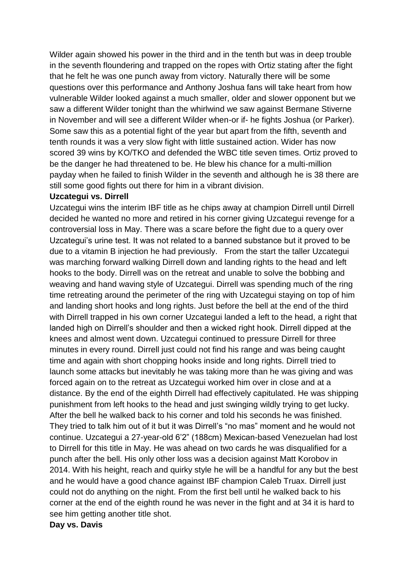Wilder again showed his power in the third and in the tenth but was in deep trouble in the seventh floundering and trapped on the ropes with Ortiz stating after the fight that he felt he was one punch away from victory. Naturally there will be some questions over this performance and Anthony Joshua fans will take heart from how vulnerable Wilder looked against a much smaller, older and slower opponent but we saw a different Wilder tonight than the whirlwind we saw against Bermane Stiverne in November and will see a different Wilder when-or if- he fights Joshua (or Parker). Some saw this as a potential fight of the year but apart from the fifth, seventh and tenth rounds it was a very slow fight with little sustained action. Wider has now scored 39 wins by KO/TKO and defended the WBC title seven times. Ortiz proved to be the danger he had threatened to be. He blew his chance for a multi-million payday when he failed to finish Wilder in the seventh and although he is 38 there are still some good fights out there for him in a vibrant division.

### **Uzcategui vs. Dirrell**

Uzcategui wins the interim IBF title as he chips away at champion Dirrell until Dirrell decided he wanted no more and retired in his corner giving Uzcategui revenge for a controversial loss in May. There was a scare before the fight due to a query over Uzcategui's urine test. It was not related to a banned substance but it proved to be due to a vitamin B injection he had previously. From the start the taller Uzcategui was marching forward walking Dirrell down and landing rights to the head and left hooks to the body. Dirrell was on the retreat and unable to solve the bobbing and weaving and hand waving style of Uzcategui. Dirrell was spending much of the ring time retreating around the perimeter of the ring with Uzcategui staying on top of him and landing short hooks and long rights. Just before the bell at the end of the third with Dirrell trapped in his own corner Uzcategui landed a left to the head, a right that landed high on Dirrell's shoulder and then a wicked right hook. Dirrell dipped at the knees and almost went down. Uzcategui continued to pressure Dirrell for three minutes in every round. Dirrell just could not find his range and was being caught time and again with short chopping hooks inside and long rights. Dirrell tried to launch some attacks but inevitably he was taking more than he was giving and was forced again on to the retreat as Uzcategui worked him over in close and at a distance. By the end of the eighth Dirrell had effectively capitulated. He was shipping punishment from left hooks to the head and just swinging wildly trying to get lucky. After the bell he walked back to his corner and told his seconds he was finished. They tried to talk him out of it but it was Dirrell's "no mas" moment and he would not continue. Uzcategui a 27-year-old 6'2" (188cm) Mexican-based Venezuelan had lost to Dirrell for this title in May. He was ahead on two cards he was disqualified for a punch after the bell. His only other loss was a decision against Matt Korobov in 2014. With his height, reach and quirky style he will be a handful for any but the best and he would have a good chance against IBF champion Caleb Truax. Dirrell just could not do anything on the night. From the first bell until he walked back to his corner at the end of the eighth round he was never in the fight and at 34 it is hard to see him getting another title shot.

### **Day vs. Davis**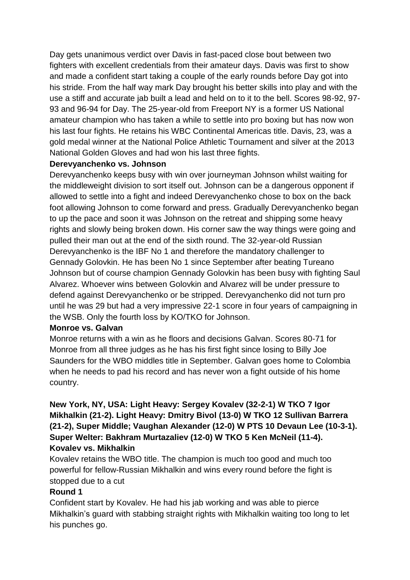Day gets unanimous verdict over Davis in fast-paced close bout between two fighters with excellent credentials from their amateur days. Davis was first to show and made a confident start taking a couple of the early rounds before Day got into his stride. From the half way mark Day brought his better skills into play and with the use a stiff and accurate jab built a lead and held on to it to the bell. Scores 98-92, 97- 93 and 96-94 for Day. The 25-year-old from Freeport NY is a former US National amateur champion who has taken a while to settle into pro boxing but has now won his last four fights. He retains his WBC Continental Americas title. Davis, 23, was a gold medal winner at the National Police Athletic Tournament and silver at the 2013 National Golden Gloves and had won his last three fights.

## **Derevyanchenko vs. Johnson**

Derevyanchenko keeps busy with win over journeyman Johnson whilst waiting for the middleweight division to sort itself out. Johnson can be a dangerous opponent if allowed to settle into a fight and indeed Derevyanchenko chose to box on the back foot allowing Johnson to come forward and press. Gradually Derevyanchenko began to up the pace and soon it was Johnson on the retreat and shipping some heavy rights and slowly being broken down. His corner saw the way things were going and pulled their man out at the end of the sixth round. The 32-year-old Russian Derevyanchenko is the IBF No 1 and therefore the mandatory challenger to Gennady Golovkin. He has been No 1 since September after beating Tureano Johnson but of course champion Gennady Golovkin has been busy with fighting Saul Alvarez. Whoever wins between Golovkin and Alvarez will be under pressure to defend against Derevyanchenko or be stripped. Derevyanchenko did not turn pro until he was 29 but had a very impressive 22-1 score in four years of campaigning in the WSB. Only the fourth loss by KO/TKO for Johnson.

### **Monroe vs. Galvan**

Monroe returns with a win as he floors and decisions Galvan. Scores 80-71 for Monroe from all three judges as he has his first fight since losing to Billy Joe Saunders for the WBO middles title in September. Galvan goes home to Colombia when he needs to pad his record and has never won a fight outside of his home country.

## **New York, NY, USA: Light Heavy: Sergey Kovalev (32-2-1) W TKO 7 Igor Mikhalkin (21-2). Light Heavy: Dmitry Bivol (13-0) W TKO 12 Sullivan Barrera (21-2), Super Middle; Vaughan Alexander (12-0) W PTS 10 Devaun Lee (10-3-1). Super Welter: Bakhram Murtazaliev (12-0) W TKO 5 Ken McNeil (11-4). Kovalev vs. Mikhalkin**

Kovalev retains the WBO title. The champion is much too good and much too powerful for fellow-Russian Mikhalkin and wins every round before the fight is stopped due to a cut

## **Round 1**

Confident start by Kovalev. He had his jab working and was able to pierce Mikhalkin's guard with stabbing straight rights with Mikhalkin waiting too long to let his punches go.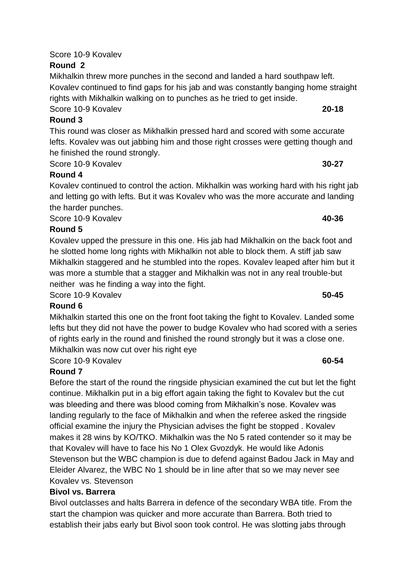# Score 10-9 Kovalev

# **Round 2**

Mikhalkin threw more punches in the second and landed a hard southpaw left. Kovalev continued to find gaps for his jab and was constantly banging home straight rights with Mikhalkin walking on to punches as he tried to get inside. Score 10-9 Kovalev **20-18**

## **Round 3**

This round was closer as Mikhalkin pressed hard and scored with some accurate lefts. Kovalev was out jabbing him and those right crosses were getting though and he finished the round strongly.

Score 10-9 Kovalev **30-27** 

# **Round 4**

Kovalev continued to control the action. Mikhalkin was working hard with his right jab and letting go with lefts. But it was Kovalev who was the more accurate and landing the harder punches.

Score 10-9 Kovalev **40-36**

# **Round 5**

Kovalev upped the pressure in this one. His jab had Mikhalkin on the back foot and he slotted home long rights with Mikhalkin not able to block them. A stiff jab saw Mikhalkin staggered and he stumbled into the ropes. Kovalev leaped after him but it was more a stumble that a stagger and Mikhalkin was not in any real trouble-but neither was he finding a way into the fight.

Score 10-9 Kovalev **50-45**

## **Round 6**

Mikhalkin started this one on the front foot taking the fight to Kovalev. Landed some lefts but they did not have the power to budge Kovalev who had scored with a series of rights early in the round and finished the round strongly but it was a close one. Mikhalkin was now cut over his right eye

# Score 10-9 Kovalev **60-54**

# **Round 7**

Before the start of the round the ringside physician examined the cut but let the fight continue. Mikhalkin put in a big effort again taking the fight to Kovalev but the cut was bleeding and there was blood coming from Mikhalkin's nose. Kovalev was landing regularly to the face of Mikhalkin and when the referee asked the ringside official examine the injury the Physician advises the fight be stopped . Kovalev makes it 28 wins by KO/TKO. Mikhalkin was the No 5 rated contender so it may be that Kovalev will have to face his No 1 Olex Gvozdyk. He would like Adonis Stevenson but the WBC champion is due to defend against Badou Jack in May and Eleider Alvarez, the WBC No 1 should be in line after that so we may never see Kovalev vs. Stevenson

## **Bivol vs. Barrera**

Bivol outclasses and halts Barrera in defence of the secondary WBA title. From the start the champion was quicker and more accurate than Barrera. Both tried to establish their jabs early but Bivol soon took control. He was slotting jabs through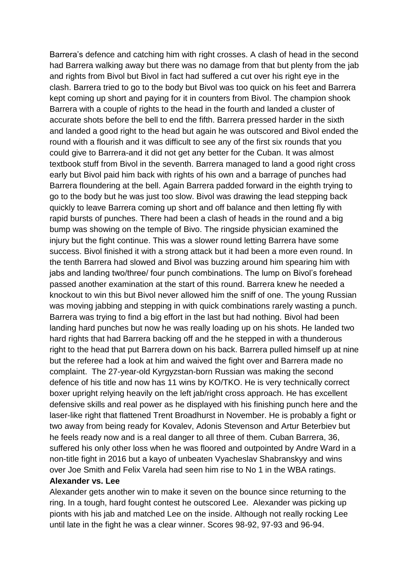Barrera's defence and catching him with right crosses. A clash of head in the second had Barrera walking away but there was no damage from that but plenty from the jab and rights from Bivol but Bivol in fact had suffered a cut over his right eye in the clash. Barrera tried to go to the body but Bivol was too quick on his feet and Barrera kept coming up short and paying for it in counters from Bivol. The champion shook Barrera with a couple of rights to the head in the fourth and landed a cluster of accurate shots before the bell to end the fifth. Barrera pressed harder in the sixth and landed a good right to the head but again he was outscored and Bivol ended the round with a flourish and it was difficult to see any of the first six rounds that you could give to Barrera-and it did not get any better for the Cuban. It was almost textbook stuff from Bivol in the seventh. Barrera managed to land a good right cross early but Bivol paid him back with rights of his own and a barrage of punches had Barrera floundering at the bell. Again Barrera padded forward in the eighth trying to go to the body but he was just too slow. Bivol was drawing the lead stepping back quickly to leave Barrera coming up short and off balance and then letting fly with rapid bursts of punches. There had been a clash of heads in the round and a big bump was showing on the temple of Bivo. The ringside physician examined the injury but the fight continue. This was a slower round letting Barrera have some success. Bivol finished it with a strong attack but it had been a more even round. In the tenth Barrera had slowed and Bivol was buzzing around him spearing him with jabs and landing two/three/ four punch combinations. The lump on Bivol's forehead passed another examination at the start of this round. Barrera knew he needed a knockout to win this but Bivol never allowed him the sniff of one. The young Russian was moving jabbing and stepping in with quick combinations rarely wasting a punch. Barrera was trying to find a big effort in the last but had nothing. Bivol had been landing hard punches but now he was really loading up on his shots. He landed two hard rights that had Barrera backing off and the he stepped in with a thunderous right to the head that put Barrera down on his back. Barrera pulled himself up at nine but the referee had a look at him and waived the fight over and Barrera made no complaint. The 27-year-old Kyrgyzstan-born Russian was making the second defence of his title and now has 11 wins by KO/TKO. He is very technically correct boxer upright relying heavily on the left jab/right cross approach. He has excellent defensive skills and real power as he displayed with his finishing punch here and the laser-like right that flattened Trent Broadhurst in November. He is probably a fight or two away from being ready for Kovalev, Adonis Stevenson and Artur Beterbiev but he feels ready now and is a real danger to all three of them. Cuban Barrera, 36, suffered his only other loss when he was floored and outpointed by Andre Ward in a non-title fight in 2016 but a kayo of unbeaten Vyacheslav Shabranskyy and wins over Joe Smith and Felix Varela had seen him rise to No 1 in the WBA ratings. **Alexander vs. Lee**

Alexander gets another win to make it seven on the bounce since returning to the ring. In a tough, hard fought contest he outscored Lee. Alexander was picking up pionts with his jab and matched Lee on the inside. Although not really rocking Lee until late in the fight he was a clear winner. Scores 98-92, 97-93 and 96-94.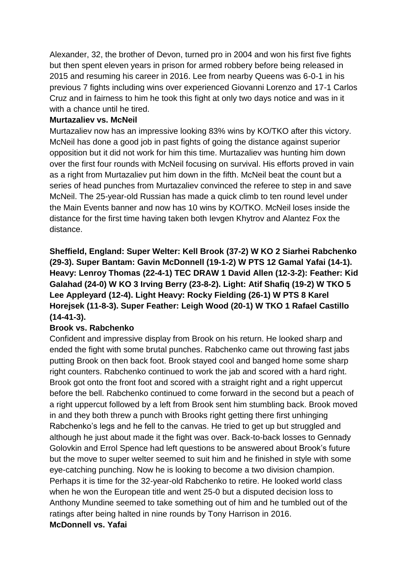Alexander, 32, the brother of Devon, turned pro in 2004 and won his first five fights but then spent eleven years in prison for armed robbery before being released in 2015 and resuming his career in 2016. Lee from nearby Queens was 6-0-1 in his previous 7 fights including wins over experienced Giovanni Lorenzo and 17-1 Carlos Cruz and in fairness to him he took this fight at only two days notice and was in it with a chance until he tired.

### **Murtazaliev vs. McNeil**

Murtazaliev now has an impressive looking 83% wins by KO/TKO after this victory. McNeil has done a good job in past fights of going the distance against superior opposition but it did not work for him this time. Murtazaliev was hunting him down over the first four rounds with McNeil focusing on survival. His efforts proved in vain as a right from Murtazaliev put him down in the fifth. McNeil beat the count but a series of head punches from Murtazaliev convinced the referee to step in and save McNeil. The 25-year-old Russian has made a quick climb to ten round level under the Main Events banner and now has 10 wins by KO/TKO. McNeil loses inside the distance for the first time having taken both Ievgen Khytrov and Alantez Fox the distance.

## **Sheffield, England: Super Welter: Kell Brook (37-2) W KO 2 Siarhei Rabchenko (29-3). Super Bantam: Gavin McDonnell (19-1-2) W PTS 12 Gamal Yafai (14-1). Heavy: Lenroy Thomas (22-4-1) TEC DRAW 1 David Allen (12-3-2): Feather: Kid Galahad (24-0) W KO 3 Irving Berry (23-8-2). Light: Atif Shafiq (19-2) W TKO 5 Lee Appleyard (12-4). Light Heavy: Rocky Fielding (26-1) W PTS 8 Karel Horejsek (11-8-3). Super Feather: Leigh Wood (20-1) W TKO 1 Rafael Castillo (14-41-3).**

### **Brook vs. Rabchenko**

Confident and impressive display from Brook on his return. He looked sharp and ended the fight with some brutal punches. Rabchenko came out throwing fast jabs putting Brook on then back foot. Brook stayed cool and banged home some sharp right counters. Rabchenko continued to work the jab and scored with a hard right. Brook got onto the front foot and scored with a straight right and a right uppercut before the bell. Rabchenko continued to come forward in the second but a peach of a right uppercut followed by a left from Brook sent him stumbling back. Brook moved in and they both threw a punch with Brooks right getting there first unhinging Rabchenko's legs and he fell to the canvas. He tried to get up but struggled and although he just about made it the fight was over. Back-to-back losses to Gennady Golovkin and Errol Spence had left questions to be answered about Brook's future but the move to super welter seemed to suit him and he finished in style with some eye-catching punching. Now he is looking to become a two division champion. Perhaps it is time for the 32-year-old Rabchenko to retire. He looked world class when he won the European title and went 25-0 but a disputed decision loss to Anthony Mundine seemed to take something out of him and he tumbled out of the ratings after being halted in nine rounds by Tony Harrison in 2016. **McDonnell vs. Yafai**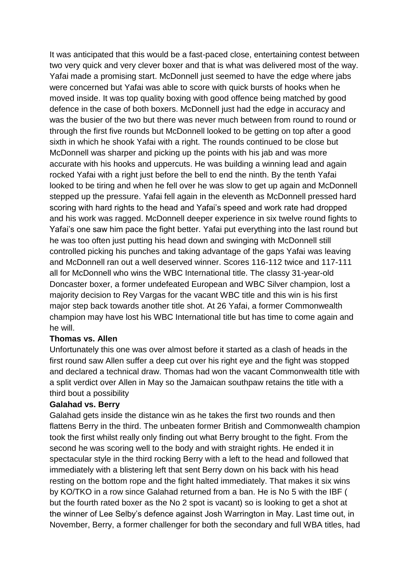It was anticipated that this would be a fast-paced close, entertaining contest between two very quick and very clever boxer and that is what was delivered most of the way. Yafai made a promising start. McDonnell just seemed to have the edge where jabs were concerned but Yafai was able to score with quick bursts of hooks when he moved inside. It was top quality boxing with good offence being matched by good defence in the case of both boxers. McDonnell just had the edge in accuracy and was the busier of the two but there was never much between from round to round or through the first five rounds but McDonnell looked to be getting on top after a good sixth in which he shook Yafai with a right. The rounds continued to be close but McDonnell was sharper and picking up the points with his jab and was more accurate with his hooks and uppercuts. He was building a winning lead and again rocked Yafai with a right just before the bell to end the ninth. By the tenth Yafai looked to be tiring and when he fell over he was slow to get up again and McDonnell stepped up the pressure. Yafai fell again in the eleventh as McDonnell pressed hard scoring with hard rights to the head and Yafai's speed and work rate had dropped and his work was ragged. McDonnell deeper experience in six twelve round fights to Yafai's one saw him pace the fight better. Yafai put everything into the last round but he was too often just putting his head down and swinging with McDonnell still controlled picking his punches and taking advantage of the gaps Yafai was leaving and McDonnell ran out a well deserved winner. Scores 116-112 twice and 117-111 all for McDonnell who wins the WBC International title. The classy 31-year-old Doncaster boxer, a former undefeated European and WBC Silver champion, lost a majority decision to Rey Vargas for the vacant WBC title and this win is his first major step back towards another title shot. At 26 Yafai, a former Commonwealth champion may have lost his WBC International title but has time to come again and he will.

### **Thomas vs. Allen**

Unfortunately this one was over almost before it started as a clash of heads in the first round saw Allen suffer a deep cut over his right eye and the fight was stopped and declared a technical draw. Thomas had won the vacant Commonwealth title with a split verdict over Allen in May so the Jamaican southpaw retains the title with a third bout a possibility

### **Galahad vs. Berry**

Galahad gets inside the distance win as he takes the first two rounds and then flattens Berry in the third. The unbeaten former British and Commonwealth champion took the first whilst really only finding out what Berry brought to the fight. From the second he was scoring well to the body and with straight rights. He ended it in spectacular style in the third rocking Berry with a left to the head and followed that immediately with a blistering left that sent Berry down on his back with his head resting on the bottom rope and the fight halted immediately. That makes it six wins by KO/TKO in a row since Galahad returned from a ban. He is No 5 with the IBF ( but the fourth rated boxer as the No 2 spot is vacant) so is looking to get a shot at the winner of Lee Selby's defence against Josh Warrington in May. Last time out, in November, Berry, a former challenger for both the secondary and full WBA titles, had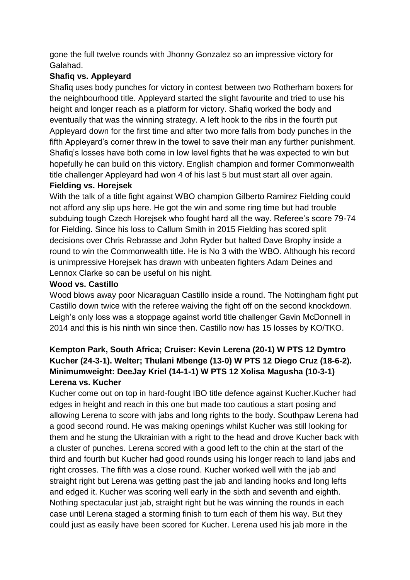gone the full twelve rounds with Jhonny Gonzalez so an impressive victory for Galahad.

## **Shafiq vs. Appleyard**

Shafiq uses body punches for victory in contest between two Rotherham boxers for the neighbourhood title. Appleyard started the slight favourite and tried to use his height and longer reach as a platform for victory. Shafiq worked the body and eventually that was the winning strategy. A left hook to the ribs in the fourth put Appleyard down for the first time and after two more falls from body punches in the fifth Appleyard's corner threw in the towel to save their man any further punishment. Shafiq's losses have both come in low level fights that he was expected to win but hopefully he can build on this victory. English champion and former Commonwealth title challenger Appleyard had won 4 of his last 5 but must start all over again.

## **Fielding vs. Horejsek**

With the talk of a title fight against WBO champion Gilberto Ramirez Fielding could not afford any slip ups here. He got the win and some ring time but had trouble subduing tough Czech Horejsek who fought hard all the way. Referee's score 79-74 for Fielding. Since his loss to Callum Smith in 2015 Fielding has scored split decisions over Chris Rebrasse and John Ryder but halted Dave Brophy inside a round to win the Commonwealth title. He is No 3 with the WBO. Although his record is unimpressive Horejsek has drawn with unbeaten fighters Adam Deines and Lennox Clarke so can be useful on his night.

## **Wood vs. Castillo**

Wood blows away poor Nicaraguan Castillo inside a round. The Nottingham fight put Castillo down twice with the referee waiving the fight off on the second knockdown. Leigh's only loss was a stoppage against world title challenger Gavin McDonnell in 2014 and this is his ninth win since then. Castillo now has 15 losses by KO/TKO.

## **Kempton Park, South Africa; Cruiser: Kevin Lerena (20-1) W PTS 12 Dymtro Kucher (24-3-1). Welter; Thulani Mbenge (13-0) W PTS 12 Diego Cruz (18-6-2). Minimumweight: DeeJay Kriel (14-1-1) W PTS 12 Xolisa Magusha (10-3-1) Lerena vs. Kucher**

Kucher come out on top in hard-fought IBO title defence against Kucher.Kucher had edges in height and reach in this one but made too cautious a start posing and allowing Lerena to score with jabs and long rights to the body. Southpaw Lerena had a good second round. He was making openings whilst Kucher was still looking for them and he stung the Ukrainian with a right to the head and drove Kucher back with a cluster of punches. Lerena scored with a good left to the chin at the start of the third and fourth but Kucher had good rounds using his longer reach to land jabs and right crosses. The fifth was a close round. Kucher worked well with the jab and straight right but Lerena was getting past the jab and landing hooks and long lefts and edged it. Kucher was scoring well early in the sixth and seventh and eighth. Nothing spectacular just jab, straight right but he was winning the rounds in each case until Lerena staged a storming finish to turn each of them his way. But they could just as easily have been scored for Kucher. Lerena used his jab more in the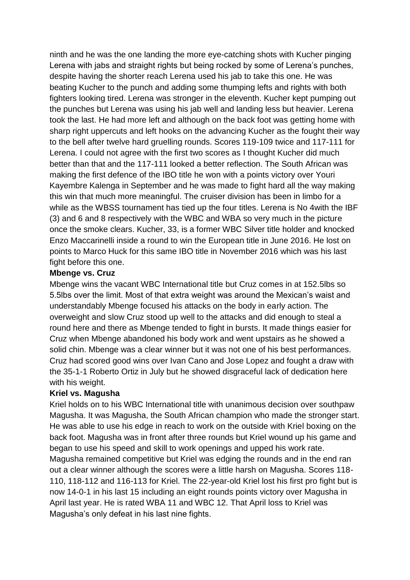ninth and he was the one landing the more eye-catching shots with Kucher pinging Lerena with jabs and straight rights but being rocked by some of Lerena's punches, despite having the shorter reach Lerena used his jab to take this one. He was beating Kucher to the punch and adding some thumping lefts and rights with both fighters looking tired. Lerena was stronger in the eleventh. Kucher kept pumping out the punches but Lerena was using his jab well and landing less but heavier. Lerena took the last. He had more left and although on the back foot was getting home with sharp right uppercuts and left hooks on the advancing Kucher as the fought their way to the bell after twelve hard gruelling rounds. Scores 119-109 twice and 117-111 for Lerena. I could not agree with the first two scores as I thought Kucher did much better than that and the 117-111 looked a better reflection. The South African was making the first defence of the IBO title he won with a points victory over Youri Kayembre Kalenga in September and he was made to fight hard all the way making this win that much more meaningful. The cruiser division has been in limbo for a while as the WBSS tournament has tied up the four titles. Lerena is No 4with the IBF (3) and 6 and 8 respectively with the WBC and WBA so very much in the picture once the smoke clears. Kucher, 33, is a former WBC Silver title holder and knocked Enzo Maccarinelli inside a round to win the European title in June 2016. He lost on points to Marco Huck for this same IBO title in November 2016 which was his last fight before this one.

### **Mbenge vs. Cruz**

Mbenge wins the vacant WBC International title but Cruz comes in at 152.5lbs so 5.5lbs over the limit. Most of that extra weight was around the Mexican's waist and understandably Mbenge focused his attacks on the body in early action. The overweight and slow Cruz stood up well to the attacks and did enough to steal a round here and there as Mbenge tended to fight in bursts. It made things easier for Cruz when Mbenge abandoned his body work and went upstairs as he showed a solid chin. Mbenge was a clear winner but it was not one of his best performances. Cruz had scored good wins over Ivan Cano and Jose Lopez and fought a draw with the 35-1-1 Roberto Ortiz in July but he showed disgraceful lack of dedication here with his weight.

## **Kriel vs. Magusha**

Kriel holds on to his WBC International title with unanimous decision over southpaw Magusha. It was Magusha, the South African champion who made the stronger start. He was able to use his edge in reach to work on the outside with Kriel boxing on the back foot. Magusha was in front after three rounds but Kriel wound up his game and began to use his speed and skill to work openings and upped his work rate. Magusha remained competitive but Kriel was edging the rounds and in the end ran out a clear winner although the scores were a little harsh on Magusha. Scores 118- 110, 118-112 and 116-113 for Kriel. The 22-year-old Kriel lost his first pro fight but is now 14-0-1 in his last 15 including an eight rounds points victory over Magusha in April last year. He is rated WBA 11 and WBC 12. That April loss to Kriel was Magusha's only defeat in his last nine fights.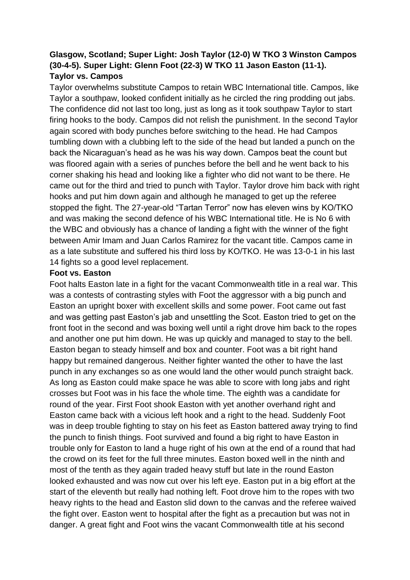## **Glasgow, Scotland; Super Light: Josh Taylor (12-0) W TKO 3 Winston Campos (30-4-5). Super Light: Glenn Foot (22-3) W TKO 11 Jason Easton (11-1). Taylor vs. Campos**

Taylor overwhelms substitute Campos to retain WBC International title. Campos, like Taylor a southpaw, looked confident initially as he circled the ring prodding out jabs. The confidence did not last too long, just as long as it took southpaw Taylor to start firing hooks to the body. Campos did not relish the punishment. In the second Taylor again scored with body punches before switching to the head. He had Campos tumbling down with a clubbing left to the side of the head but landed a punch on the back the Nicaraguan's head as he was his way down. Campos beat the count but was floored again with a series of punches before the bell and he went back to his corner shaking his head and looking like a fighter who did not want to be there. He came out for the third and tried to punch with Taylor. Taylor drove him back with right hooks and put him down again and although he managed to get up the referee stopped the fight. The 27-year-old "Tartan Terror" now has eleven wins by KO/TKO and was making the second defence of his WBC International title. He is No 6 with the WBC and obviously has a chance of landing a fight with the winner of the fight between Amir Imam and Juan Carlos Ramirez for the vacant title. Campos came in as a late substitute and suffered his third loss by KO/TKO. He was 13-0-1 in his last 14 fights so a good level replacement.

### **Foot vs. Easton**

Foot halts Easton late in a fight for the vacant Commonwealth title in a real war. This was a contests of contrasting styles with Foot the aggressor with a big punch and Easton an upright boxer with excellent skills and some power. Foot came out fast and was getting past Easton's jab and unsettling the Scot. Easton tried to get on the front foot in the second and was boxing well until a right drove him back to the ropes and another one put him down. He was up quickly and managed to stay to the bell. Easton began to steady himself and box and counter. Foot was a bit right hand happy but remained dangerous. Neither fighter wanted the other to have the last punch in any exchanges so as one would land the other would punch straight back. As long as Easton could make space he was able to score with long jabs and right crosses but Foot was in his face the whole time. The eighth was a candidate for round of the year. First Foot shook Easton with yet another overhand right and Easton came back with a vicious left hook and a right to the head. Suddenly Foot was in deep trouble fighting to stay on his feet as Easton battered away trying to find the punch to finish things. Foot survived and found a big right to have Easton in trouble only for Easton to land a huge right of his own at the end of a round that had the crowd on its feet for the full three minutes. Easton boxed well in the ninth and most of the tenth as they again traded heavy stuff but late in the round Easton looked exhausted and was now cut over his left eye. Easton put in a big effort at the start of the eleventh but really had nothing left. Foot drove him to the ropes with two heavy rights to the head and Easton slid down to the canvas and the referee waived the fight over. Easton went to hospital after the fight as a precaution but was not in danger. A great fight and Foot wins the vacant Commonwealth title at his second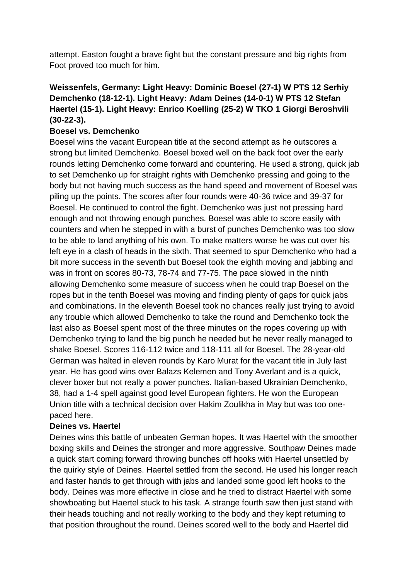attempt. Easton fought a brave fight but the constant pressure and big rights from Foot proved too much for him.

## **Weissenfels, Germany: Light Heavy: Dominic Boesel (27-1) W PTS 12 Serhiy Demchenko (18-12-1). Light Heavy: Adam Deines (14-0-1) W PTS 12 Stefan Haertel (15-1). Light Heavy: Enrico Koelling (25-2) W TKO 1 Giorgi Beroshvili (30-22-3).**

## **Boesel vs. Demchenko**

Boesel wins the vacant European title at the second attempt as he outscores a strong but limited Demchenko. Boesel boxed well on the back foot over the early rounds letting Demchenko come forward and countering. He used a strong, quick jab to set Demchenko up for straight rights with Demchenko pressing and going to the body but not having much success as the hand speed and movement of Boesel was piling up the points. The scores after four rounds were 40-36 twice and 39-37 for Boesel. He continued to control the fight. Demchenko was just not pressing hard enough and not throwing enough punches. Boesel was able to score easily with counters and when he stepped in with a burst of punches Demchenko was too slow to be able to land anything of his own. To make matters worse he was cut over his left eye in a clash of heads in the sixth. That seemed to spur Demchenko who had a bit more success in the seventh but Boesel took the eighth moving and jabbing and was in front on scores 80-73, 78-74 and 77-75. The pace slowed in the ninth allowing Demchenko some measure of success when he could trap Boesel on the ropes but in the tenth Boesel was moving and finding plenty of gaps for quick jabs and combinations. In the eleventh Boesel took no chances really just trying to avoid any trouble which allowed Demchenko to take the round and Demchenko took the last also as Boesel spent most of the three minutes on the ropes covering up with Demchenko trying to land the big punch he needed but he never really managed to shake Boesel. Scores 116-112 twice and 118-111 all for Boesel. The 28-year-old German was halted in eleven rounds by Karo Murat for the vacant title in July last year. He has good wins over Balazs Kelemen and Tony Averlant and is a quick, clever boxer but not really a power punches. Italian-based Ukrainian Demchenko, 38, had a 1-4 spell against good level European fighters. He won the European Union title with a technical decision over Hakim Zoulikha in May but was too onepaced here.

## **Deines vs. Haertel**

Deines wins this battle of unbeaten German hopes. It was Haertel with the smoother boxing skills and Deines the stronger and more aggressive. Southpaw Deines made a quick start coming forward throwing bunches off hooks with Haertel unsettled by the quirky style of Deines. Haertel settled from the second. He used his longer reach and faster hands to get through with jabs and landed some good left hooks to the body. Deines was more effective in close and he tried to distract Haertel with some showboating but Haertel stuck to his task. A strange fourth saw then just stand with their heads touching and not really working to the body and they kept returning to that position throughout the round. Deines scored well to the body and Haertel did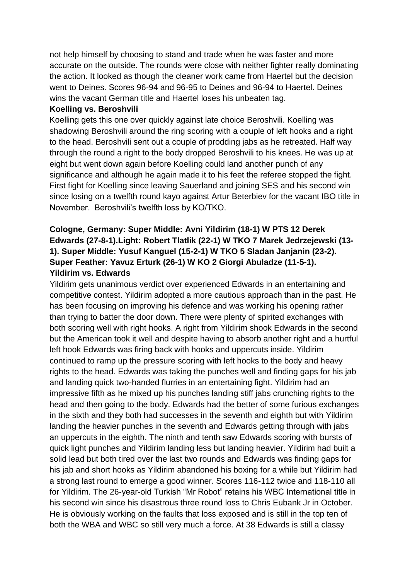not help himself by choosing to stand and trade when he was faster and more accurate on the outside. The rounds were close with neither fighter really dominating the action. It looked as though the cleaner work came from Haertel but the decision went to Deines. Scores 96-94 and 96-95 to Deines and 96-94 to Haertel. Deines wins the vacant German title and Haertel loses his unbeaten tag.

### **Koelling vs. Beroshvili**

Koelling gets this one over quickly against late choice Beroshvili. Koelling was shadowing Beroshvili around the ring scoring with a couple of left hooks and a right to the head. Beroshvili sent out a couple of prodding jabs as he retreated. Half way through the round a right to the body dropped Beroshvili to his knees. He was up at eight but went down again before Koelling could land another punch of any significance and although he again made it to his feet the referee stopped the fight. First fight for Koelling since leaving Sauerland and joining SES and his second win since losing on a twelfth round kayo against Artur Beterbiev for the vacant IBO title in November. Beroshvili's twelfth loss by KO/TKO.

## **Cologne, Germany: Super Middle: Avni Yildirim (18-1) W PTS 12 Derek Edwards (27-8-1).Light: Robert Tlatlik (22-1) W TKO 7 Marek Jedrzejewski (13- 1). Super Middle: Yusuf Kanguel (15-2-1) W TKO 5 Sladan Janjanin (23-2). Super Feather: Yavuz Erturk (26-1) W KO 2 Giorgi Abuladze (11-5-1). Yildirim vs. Edwards**

Yildirim gets unanimous verdict over experienced Edwards in an entertaining and competitive contest. Yildirim adopted a more cautious approach than in the past. He has been focusing on improving his defence and was working his opening rather than trying to batter the door down. There were plenty of spirited exchanges with both scoring well with right hooks. A right from Yildirim shook Edwards in the second but the American took it well and despite having to absorb another right and a hurtful left hook Edwards was firing back with hooks and uppercuts inside. Yildirim continued to ramp up the pressure scoring with left hooks to the body and heavy rights to the head. Edwards was taking the punches well and finding gaps for his jab and landing quick two-handed flurries in an entertaining fight. Yildirim had an impressive fifth as he mixed up his punches landing stiff jabs crunching rights to the head and then going to the body. Edwards had the better of some furious exchanges in the sixth and they both had successes in the seventh and eighth but with Yildirim landing the heavier punches in the seventh and Edwards getting through with jabs an uppercuts in the eighth. The ninth and tenth saw Edwards scoring with bursts of quick light punches and Yildirim landing less but landing heavier. Yildirim had built a solid lead but both tired over the last two rounds and Edwards was finding gaps for his jab and short hooks as Yildirim abandoned his boxing for a while but Yildirim had a strong last round to emerge a good winner. Scores 116-112 twice and 118-110 all for Yildirim. The 26-year-old Turkish "Mr Robot" retains his WBC International title in his second win since his disastrous three round loss to Chris Eubank Jr in October. He is obviously working on the faults that loss exposed and is still in the top ten of both the WBA and WBC so still very much a force. At 38 Edwards is still a classy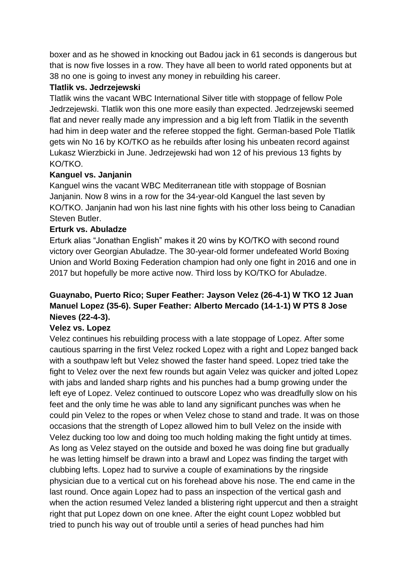boxer and as he showed in knocking out Badou jack in 61 seconds is dangerous but that is now five losses in a row. They have all been to world rated opponents but at 38 no one is going to invest any money in rebuilding his career.

## **Tlatlik vs. Jedrzejewski**

Tlatlik wins the vacant WBC International Silver title with stoppage of fellow Pole Jedrzejewski. Tlatlik won this one more easily than expected. Jedrzejewski seemed flat and never really made any impression and a big left from Tlatlik in the seventh had him in deep water and the referee stopped the fight. German-based Pole Tlatlik gets win No 16 by KO/TKO as he rebuilds after losing his unbeaten record against Lukasz Wierzbicki in June. Jedrzejewski had won 12 of his previous 13 fights by KO/TKO.

## **Kanguel vs. Janjanin**

Kanguel wins the vacant WBC Mediterranean title with stoppage of Bosnian Janjanin. Now 8 wins in a row for the 34-year-old Kanguel the last seven by KO/TKO. Janjanin had won his last nine fights with his other loss being to Canadian Steven Butler.

## **Erturk vs. Abuladze**

Erturk alias "Jonathan English" makes it 20 wins by KO/TKO with second round victory over Georgian Abuladze. The 30-year-old former undefeated World Boxing Union and World Boxing Federation champion had only one fight in 2016 and one in 2017 but hopefully be more active now. Third loss by KO/TKO for Abuladze.

## **Guaynabo, Puerto Rico; Super Feather: Jayson Velez (26-4-1) W TKO 12 Juan Manuel Lopez (35-6). Super Feather: Alberto Mercado (14-1-1) W PTS 8 Jose Nieves (22-4-3).**

## **Velez vs. Lopez**

Velez continues his rebuilding process with a late stoppage of Lopez. After some cautious sparring in the first Velez rocked Lopez with a right and Lopez banged back with a southpaw left but Velez showed the faster hand speed. Lopez tried take the fight to Velez over the next few rounds but again Velez was quicker and jolted Lopez with jabs and landed sharp rights and his punches had a bump growing under the left eye of Lopez. Velez continued to outscore Lopez who was dreadfully slow on his feet and the only time he was able to land any significant punches was when he could pin Velez to the ropes or when Velez chose to stand and trade. It was on those occasions that the strength of Lopez allowed him to bull Velez on the inside with Velez ducking too low and doing too much holding making the fight untidy at times. As long as Velez stayed on the outside and boxed he was doing fine but gradually he was letting himself be drawn into a brawl and Lopez was finding the target with clubbing lefts. Lopez had to survive a couple of examinations by the ringside physician due to a vertical cut on his forehead above his nose. The end came in the last round. Once again Lopez had to pass an inspection of the vertical gash and when the action resumed Velez landed a blistering right uppercut and then a straight right that put Lopez down on one knee. After the eight count Lopez wobbled but tried to punch his way out of trouble until a series of head punches had him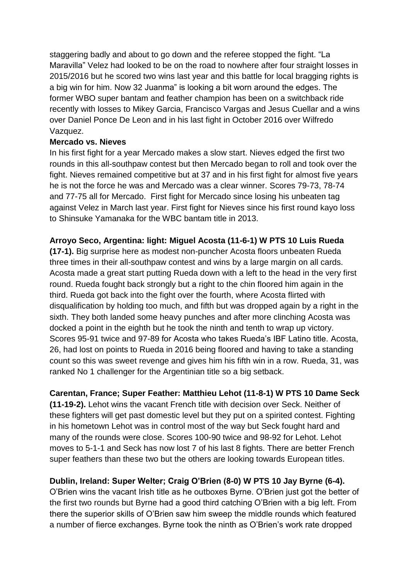staggering badly and about to go down and the referee stopped the fight. "La Maravilla" Velez had looked to be on the road to nowhere after four straight losses in 2015/2016 but he scored two wins last year and this battle for local bragging rights is a big win for him. Now 32 Juanma" is looking a bit worn around the edges. The former WBO super bantam and feather champion has been on a switchback ride recently with losses to Mikey Garcia, Francisco Vargas and Jesus Cuellar and a wins over Daniel Ponce De Leon and in his last fight in October 2016 over Wilfredo Vazquez.

### **Mercado vs. Nieves**

In his first fight for a year Mercado makes a slow start. Nieves edged the first two rounds in this all-southpaw contest but then Mercado began to roll and took over the fight. Nieves remained competitive but at 37 and in his first fight for almost five years he is not the force he was and Mercado was a clear winner. Scores 79-73, 78-74 and 77-75 all for Mercado. First fight for Mercado since losing his unbeaten tag against Velez in March last year. First fight for Nieves since his first round kayo loss to Shinsuke Yamanaka for the WBC bantam title in 2013.

## **Arroyo Seco, Argentina: light: Miguel Acosta (11-6-1) W PTS 10 Luis Rueda**

**(17-1).** Big surprise here as modest non-puncher Acosta floors unbeaten Rueda three times in their all-southpaw contest and wins by a large margin on all cards. Acosta made a great start putting Rueda down with a left to the head in the very first round. Rueda fought back strongly but a right to the chin floored him again in the third. Rueda got back into the fight over the fourth, where Acosta flirted with disqualification by holding too much, and fifth but was dropped again by a right in the sixth. They both landed some heavy punches and after more clinching Acosta was docked a point in the eighth but he took the ninth and tenth to wrap up victory. Scores 95-91 twice and 97-89 for Acosta who takes Rueda's IBF Latino title. Acosta, 26, had lost on points to Rueda in 2016 being floored and having to take a standing count so this was sweet revenge and gives him his fifth win in a row. Rueda, 31, was ranked No 1 challenger for the Argentinian title so a big setback.

**Carentan, France; Super Feather: Matthieu Lehot (11-8-1) W PTS 10 Dame Seck (11-19-2).** Lehot wins the vacant French title with decision over Seck. Neither of these fighters will get past domestic level but they put on a spirited contest. Fighting in his hometown Lehot was in control most of the way but Seck fought hard and many of the rounds were close. Scores 100-90 twice and 98-92 for Lehot. Lehot moves to 5-1-1 and Seck has now lost 7 of his last 8 fights. There are better French super feathers than these two but the others are looking towards European titles.

## **Dublin, Ireland: Super Welter; Craig O'Brien (8-0) W PTS 10 Jay Byrne (6-4).**

O'Brien wins the vacant Irish title as he outboxes Byrne. O'Brien just got the better of the first two rounds but Byrne had a good third catching O'Brien with a big left. From there the superior skills of O'Brien saw him sweep the middle rounds which featured a number of fierce exchanges. Byrne took the ninth as O'Brien's work rate dropped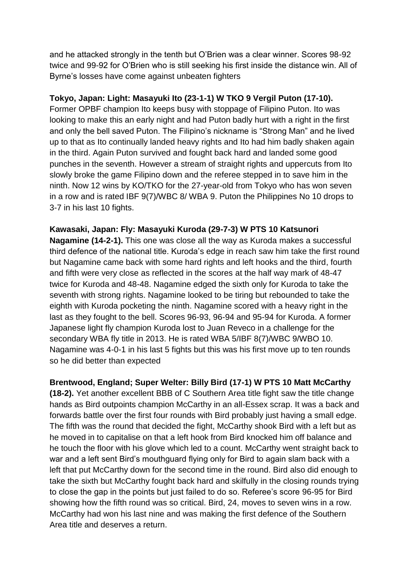and he attacked strongly in the tenth but O'Brien was a clear winner. Scores 98-92 twice and 99-92 for O'Brien who is still seeking his first inside the distance win. All of Byrne's losses have come against unbeaten fighters

### **Tokyo, Japan: Light: Masayuki Ito (23-1-1) W TKO 9 Vergil Puton (17-10).**

Former OPBF champion Ito keeps busy with stoppage of Filipino Puton. Ito was looking to make this an early night and had Puton badly hurt with a right in the first and only the bell saved Puton. The Filipino's nickname is "Strong Man" and he lived up to that as Ito continually landed heavy rights and Ito had him badly shaken again in the third. Again Puton survived and fought back hard and landed some good punches in the seventh. However a stream of straight rights and uppercuts from Ito slowly broke the game Filipino down and the referee stepped in to save him in the ninth. Now 12 wins by KO/TKO for the 27-year-old from Tokyo who has won seven in a row and is rated IBF 9(7)/WBC 8/ WBA 9. Puton the Philippines No 10 drops to 3-7 in his last 10 fights.

### **Kawasaki, Japan: Fly: Masayuki Kuroda (29-7-3) W PTS 10 Katsunori**

**Nagamine (14-2-1).** This one was close all the way as Kuroda makes a successful third defence of the national title. Kuroda's edge in reach saw him take the first round but Nagamine came back with some hard rights and left hooks and the third, fourth and fifth were very close as reflected in the scores at the half way mark of 48-47 twice for Kuroda and 48-48. Nagamine edged the sixth only for Kuroda to take the seventh with strong rights. Nagamine looked to be tiring but rebounded to take the eighth with Kuroda pocketing the ninth. Nagamine scored with a heavy right in the last as they fought to the bell. Scores 96-93, 96-94 and 95-94 for Kuroda. A former Japanese light fly champion Kuroda lost to Juan Reveco in a challenge for the secondary WBA fly title in 2013. He is rated WBA 5/IBF 8(7)/WBC 9/WBO 10. Nagamine was 4-0-1 in his last 5 fights but this was his first move up to ten rounds so he did better than expected

### **Brentwood, England; Super Welter: Billy Bird (17-1) W PTS 10 Matt McCarthy**

**(18-2).** Yet another excellent BBB of C Southern Area title fight saw the title change hands as Bird outpoints champion McCarthy in an all-Essex scrap. It was a back and forwards battle over the first four rounds with Bird probably just having a small edge. The fifth was the round that decided the fight, McCarthy shook Bird with a left but as he moved in to capitalise on that a left hook from Bird knocked him off balance and he touch the floor with his glove which led to a count. McCarthy went straight back to war and a left sent Bird's mouthguard flying only for Bird to again slam back with a left that put McCarthy down for the second time in the round. Bird also did enough to take the sixth but McCarthy fought back hard and skilfully in the closing rounds trying to close the gap in the points but just failed to do so. Referee's score 96-95 for Bird showing how the fifth round was so critical. Bird, 24, moves to seven wins in a row. McCarthy had won his last nine and was making the first defence of the Southern Area title and deserves a return.